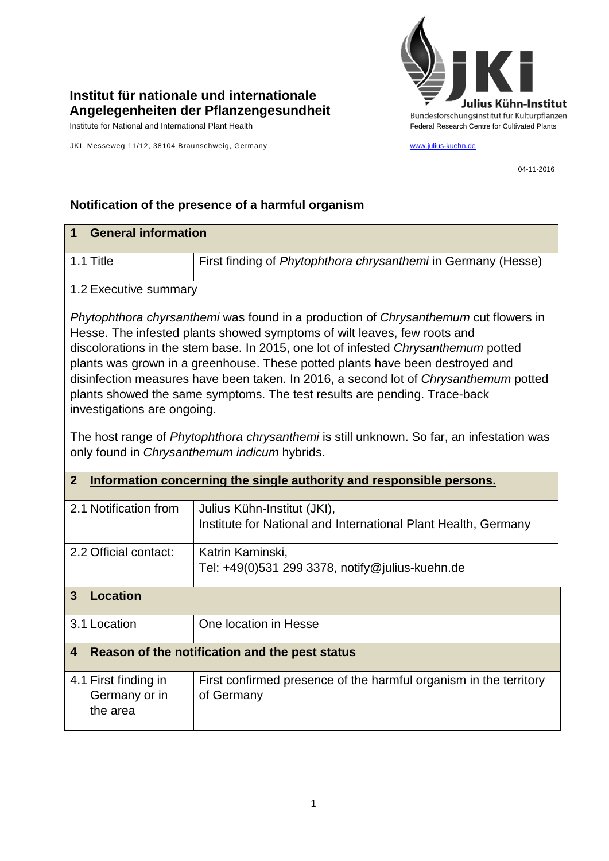

## **Institut für nationale und internationale Angelegenheiten der Pflanzengesundheit**

JKI, Messeweg 11/12, 38104 Braunschweig, Germany [www.julius-kuehn.de](http://www.julius-kuehn.de/)

04-11-2016

## **Notification of the presence of a harmful organism**

| <b>General information</b><br>1                                                                                                                                                                                                                                                                                                                                                                                                                                                                                                            |                                                                                               |  |  |
|--------------------------------------------------------------------------------------------------------------------------------------------------------------------------------------------------------------------------------------------------------------------------------------------------------------------------------------------------------------------------------------------------------------------------------------------------------------------------------------------------------------------------------------------|-----------------------------------------------------------------------------------------------|--|--|
| 1.1 Title                                                                                                                                                                                                                                                                                                                                                                                                                                                                                                                                  | First finding of Phytophthora chrysanthemi in Germany (Hesse)                                 |  |  |
| 1.2 Executive summary                                                                                                                                                                                                                                                                                                                                                                                                                                                                                                                      |                                                                                               |  |  |
| Phytophthora chyrsanthemi was found in a production of Chrysanthemum cut flowers in<br>Hesse. The infested plants showed symptoms of wilt leaves, few roots and<br>discolorations in the stem base. In 2015, one lot of infested Chrysanthemum potted<br>plants was grown in a greenhouse. These potted plants have been destroyed and<br>disinfection measures have been taken. In 2016, a second lot of Chrysanthemum potted<br>plants showed the same symptoms. The test results are pending. Trace-back<br>investigations are ongoing. |                                                                                               |  |  |
| The host range of Phytophthora chrysanthemi is still unknown. So far, an infestation was<br>only found in Chrysanthemum indicum hybrids.                                                                                                                                                                                                                                                                                                                                                                                                   |                                                                                               |  |  |
| $\overline{2}$<br>Information concerning the single authority and responsible persons.                                                                                                                                                                                                                                                                                                                                                                                                                                                     |                                                                                               |  |  |
| 2.1 Notification from                                                                                                                                                                                                                                                                                                                                                                                                                                                                                                                      | Julius Kühn-Institut (JKI),<br>Institute for National and International Plant Health, Germany |  |  |
| 2.2 Official contact:                                                                                                                                                                                                                                                                                                                                                                                                                                                                                                                      | Katrin Kaminski,<br>Tel: +49(0)531 299 3378, notify@julius-kuehn.de                           |  |  |
| <b>Location</b><br>$\overline{3}$                                                                                                                                                                                                                                                                                                                                                                                                                                                                                                          |                                                                                               |  |  |
| 3.1 Location                                                                                                                                                                                                                                                                                                                                                                                                                                                                                                                               | One location in Hesse                                                                         |  |  |
| Reason of the notification and the pest status<br>$\overline{\mathbf{4}}$                                                                                                                                                                                                                                                                                                                                                                                                                                                                  |                                                                                               |  |  |
| 4.1 First finding in<br>Germany or in<br>the area                                                                                                                                                                                                                                                                                                                                                                                                                                                                                          | First confirmed presence of the harmful organism in the territory<br>of Germany               |  |  |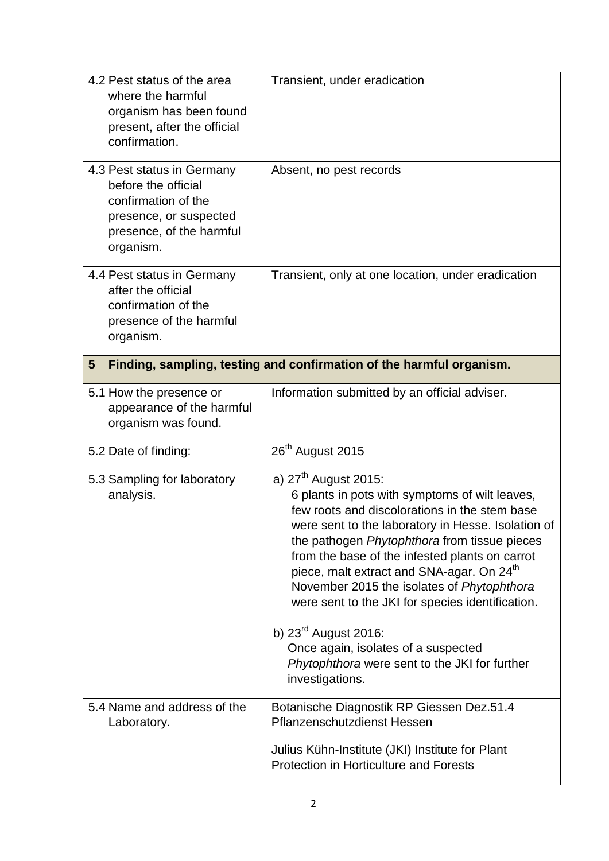| 4.2 Pest status of the area<br>where the harmful<br>organism has been found<br>present, after the official<br>confirmation.                 | Transient, under eradication                                                                                                                                                                                                                                                                                                                                                                                                                                                                                                                                                                |  |
|---------------------------------------------------------------------------------------------------------------------------------------------|---------------------------------------------------------------------------------------------------------------------------------------------------------------------------------------------------------------------------------------------------------------------------------------------------------------------------------------------------------------------------------------------------------------------------------------------------------------------------------------------------------------------------------------------------------------------------------------------|--|
| 4.3 Pest status in Germany<br>before the official<br>confirmation of the<br>presence, or suspected<br>presence, of the harmful<br>organism. | Absent, no pest records                                                                                                                                                                                                                                                                                                                                                                                                                                                                                                                                                                     |  |
| 4.4 Pest status in Germany<br>after the official<br>confirmation of the<br>presence of the harmful<br>organism.                             | Transient, only at one location, under eradication                                                                                                                                                                                                                                                                                                                                                                                                                                                                                                                                          |  |
| Finding, sampling, testing and confirmation of the harmful organism.<br>$5\phantom{.0}$                                                     |                                                                                                                                                                                                                                                                                                                                                                                                                                                                                                                                                                                             |  |
| 5.1 How the presence or<br>appearance of the harmful<br>organism was found.                                                                 | Information submitted by an official adviser.                                                                                                                                                                                                                                                                                                                                                                                                                                                                                                                                               |  |
| 5.2 Date of finding:                                                                                                                        | 26 <sup>th</sup> August 2015                                                                                                                                                                                                                                                                                                                                                                                                                                                                                                                                                                |  |
| 5.3 Sampling for laboratory<br>analysis.                                                                                                    | a) $27th$ August 2015:<br>6 plants in pots with symptoms of wilt leaves,<br>few roots and discolorations in the stem base<br>were sent to the laboratory in Hesse. Isolation of<br>the pathogen Phytophthora from tissue pieces<br>from the base of the infested plants on carrot<br>piece, malt extract and SNA-agar. On 24 <sup>th</sup><br>November 2015 the isolates of Phytophthora<br>were sent to the JKI for species identification.<br>b) $23^{\text{rd}}$ August 2016:<br>Once again, isolates of a suspected<br>Phytophthora were sent to the JKI for further<br>investigations. |  |
| 5.4 Name and address of the<br>Laboratory.                                                                                                  | Botanische Diagnostik RP Giessen Dez.51.4<br>Pflanzenschutzdienst Hessen<br>Julius Kühn-Institute (JKI) Institute for Plant<br><b>Protection in Horticulture and Forests</b>                                                                                                                                                                                                                                                                                                                                                                                                                |  |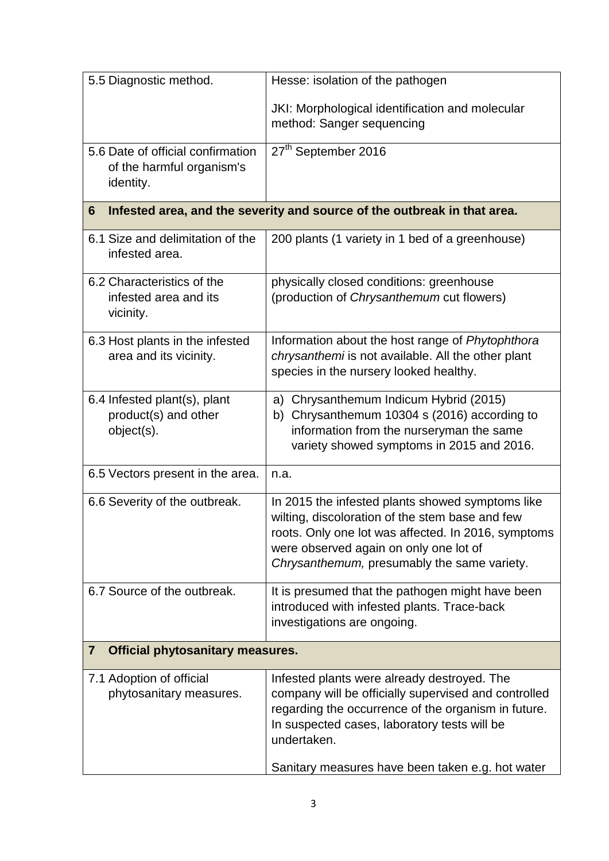| 5.5 Diagnostic method.                                                        | Hesse: isolation of the pathogen                                                                                                                                                                                                                                              |  |
|-------------------------------------------------------------------------------|-------------------------------------------------------------------------------------------------------------------------------------------------------------------------------------------------------------------------------------------------------------------------------|--|
|                                                                               | JKI: Morphological identification and molecular<br>method: Sanger sequencing                                                                                                                                                                                                  |  |
| 5.6 Date of official confirmation<br>of the harmful organism's<br>identity.   | 27 <sup>th</sup> September 2016                                                                                                                                                                                                                                               |  |
| Infested area, and the severity and source of the outbreak in that area.<br>6 |                                                                                                                                                                                                                                                                               |  |
| 6.1 Size and delimitation of the<br>infested area.                            | 200 plants (1 variety in 1 bed of a greenhouse)                                                                                                                                                                                                                               |  |
| 6.2 Characteristics of the<br>infested area and its<br>vicinity.              | physically closed conditions: greenhouse<br>(production of Chrysanthemum cut flowers)                                                                                                                                                                                         |  |
| 6.3 Host plants in the infested<br>area and its vicinity.                     | Information about the host range of Phytophthora<br>chrysanthemi is not available. All the other plant<br>species in the nursery looked healthy.                                                                                                                              |  |
| 6.4 Infested plant(s), plant<br>product(s) and other<br>object(s).            | Chrysanthemum Indicum Hybrid (2015)<br>a)<br>Chrysanthemum 10304 s (2016) according to<br>b)<br>information from the nurseryman the same<br>variety showed symptoms in 2015 and 2016.                                                                                         |  |
| 6.5 Vectors present in the area.                                              | n.a.                                                                                                                                                                                                                                                                          |  |
| 6.6 Severity of the outbreak.                                                 | In 2015 the infested plants showed symptoms like<br>wilting, discoloration of the stem base and few<br>roots. Only one lot was affected. In 2016, symptoms<br>were observed again on only one lot of<br>Chrysanthemum, presumably the same variety.                           |  |
| 6.7 Source of the outbreak.                                                   | It is presumed that the pathogen might have been<br>introduced with infested plants. Trace-back<br>investigations are ongoing.                                                                                                                                                |  |
| <b>Official phytosanitary measures.</b><br>7                                  |                                                                                                                                                                                                                                                                               |  |
| 7.1 Adoption of official<br>phytosanitary measures.                           | Infested plants were already destroyed. The<br>company will be officially supervised and controlled<br>regarding the occurrence of the organism in future.<br>In suspected cases, laboratory tests will be<br>undertaken.<br>Sanitary measures have been taken e.g. hot water |  |
|                                                                               |                                                                                                                                                                                                                                                                               |  |